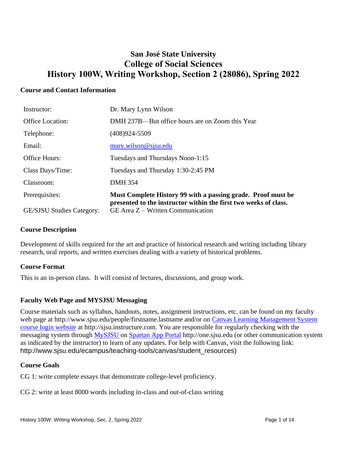# **San José State University College of Social Sciences History 100W, Writing Workshop, Section 2 (28086), Spring 2022**

#### **Course and Contact Information**

| Instructor:                      | Dr. Mary Lynn Wilson                                                                                                             |
|----------------------------------|----------------------------------------------------------------------------------------------------------------------------------|
| <b>Office Location:</b>          | DMH 237B—But office hours are on Zoom this Year                                                                                  |
| Telephone:                       | $(408)924 - 5509$                                                                                                                |
| Email:                           | mary.wilson@sjsu.edu                                                                                                             |
| <b>Office Hours:</b>             | Tuesdays and Thursdays Noon-1:15                                                                                                 |
| Class Days/Time:                 | Tuesdays and Thursday 1:30-2:45 PM                                                                                               |
| Classroom:                       | <b>DMH 354</b>                                                                                                                   |
| Prerequisites:                   | Must Complete History 99 with a passing grade. Proof must be<br>presented to the instructor within the first two weeks of class. |
| <b>GE/SJSU Studies Category:</b> | GE Area $Z$ – Written Communication                                                                                              |

#### **Course Description**

Development of skills required for the art and practice of historical research and writing including library research, oral reports, and written exercises dealing with a variety of historical problems.

## **Course Format**

This is an in-person class. It will consist of lectures, discussions, and group work.

## **Faculty Web Page and MYSJSU Messaging**

Course materials such as syllabus, handouts, notes, assignment instructions, etc. can be found on my faculty web page at http://www.sjsu.edu/people/firstname.lastname and/or on Canvas Learning Management System [course login website](file:///C:/Users/Spain/Desktop/2018/Outreach/Canvas%20Learning%20Management%20System%20course%20login%20website) at http://sjsu.instructure.com. You are responsible for regularly checking with the messaging system through MySJSU on [Spartan App Portal](http://one.sjsu.edu/) http://one.sjsu.edu (or other communication system as indicated by the instructor) to learn of any updates. For help with Canvas, visit the following link: http://www.sjsu.edu/ecampus/teaching-tools/canvas/student\_resources)

#### **Course Goals**

CG 1: write complete essays that demonstrate college-level proficiency.

CG 2: write at least 8000 words including in-class and out-of-class writing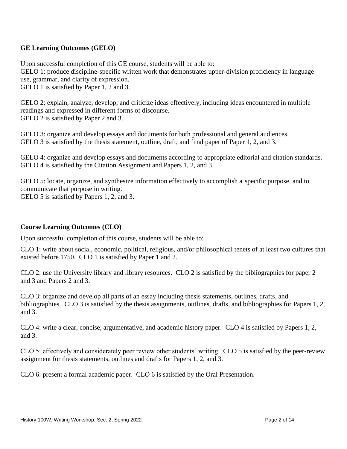## **GE Learning Outcomes (GELO)**

Upon successful completion of this GE course, students will be able to:

GELO 1: produce discipline-specific written work that demonstrates upper-division proficiency in language use, grammar, and clarity of expression.

GELO 1 is satisfied by Paper 1, 2 and 3.

GELO 2: explain, analyze, develop, and criticize ideas effectively, including ideas encountered in multiple readings and expressed in different forms of discourse. GELO 2 is satisfied by Paper 2 and 3.

GELO 3: organize and develop essays and documents for both professional and general audiences. GELO 3 is satisfied by the thesis statement, outline, draft, and final paper of Paper 1, 2, and 3.

GELO 4: organize and develop essays and documents according to appropriate editorial and citation standards. GELO 4 is satisfied by the Citation Assignment and Papers 1, 2, and 3.

GELO 5: locate, organize, and synthesize information effectively to accomplish a specific purpose, and to communicate that purpose in writing. GELO 5 is satisfied by Papers 1, 2, and 3.

#### **Course Learning Outcomes (CLO)**

Upon successful completion of this course, students will be able to:

CLO 1: write about social, economic, political, religious, and/or philosophical tenets of at least two cultures that existed before 1750. CLO 1 is satisfied by Paper 1 and 2.

CLO 2: use the University library and library resources. CLO 2 is satisfied by the bibliographies for paper 2 and 3 and Papers 2 and 3.

CLO 3: organize and develop all parts of an essay including thesis statements, outlines, drafts, and bibliographies. CLO 3 is satisfied by the thesis assignments, outlines, drafts, and bibliographies for Papers 1, 2, and 3.

CLO 4: write a clear, concise, argumentative, and academic history paper. CLO 4 is satisfied by Papers 1, 2, and 3.

CLO 5: effectively and considerately peer review other students' writing. CLO 5 is satisfied by the peer-review assignment for thesis statements, outlines and drafts for Papers 1, 2, and 3.

CLO 6: present a formal academic paper. CLO 6 is satisfied by the Oral Presentation.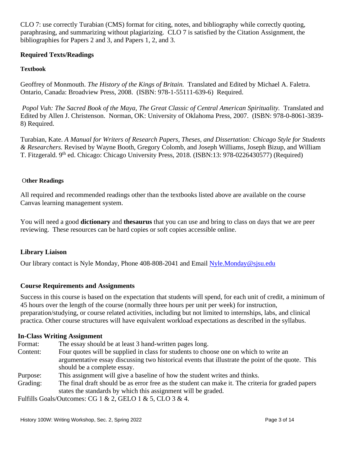CLO 7: use correctly Turabian (CMS) format for citing, notes, and bibliography while correctly quoting, paraphrasing, and summarizing without plagiarizing. CLO 7 is satisfied by the Citation Assignment, the bibliographies for Papers 2 and 3, and Papers 1, 2, and 3.

## **Required Texts/Readings**

#### **Textbook**

Geoffrey of Monmouth. *The History of the Kings of Britain.* Translated and Edited by Michael A. Faletra. Ontario, Canada: Broadview Press, 2008. (ISBN: 978-1-55111-639-6) Required.

*Popol Vuh: The Sacred Book of the Maya, The Great Classic of Central American Spirituality.* Translated and Edited by Allen J. Christenson. Norman, OK: University of Oklahoma Press, 2007. (ISBN: 978-0-8061-3839- 8) Required.

Turabian, Kate. *A Manual for Writers of Research Papers, Theses, and Dissertation: Chicago Style for Students & Researchers.* Revised by Wayne Booth, Gregory Colomb, and Joseph Williams, Joseph Bizup, and William T. Fitzgerald. 9<sup>th</sup> ed. Chicago: Chicago University Press, 2018. (ISBN:13: 978-0226430577) (Required)

#### O**ther Readings**

All required and recommended readings other than the textbooks listed above are available on the course Canvas learning management system.

You will need a good **dictionary** and **thesaurus** that you can use and bring to class on days that we are peer reviewing. These resources can be hard copies or soft copies accessible online.

#### **Library Liaison**

Our library contact is Nyle Monday, Phone 408-808-2041 and Email [Nyle.Monday@sjsu.edu](mailto:Nyle.Monday@sjsu.edu)

#### **Course Requirements and Assignments**

Success in this course is based on the expectation that students will spend, for each unit of credit, a minimum of 45 hours over the length of the course (normally three hours per unit per week) for instruction, preparation/studying, or course related activities, including but not limited to internships, labs, and clinical practica. Other course structures will have equivalent workload expectations as described in the syllabus.

#### **In-Class Writing Assignment**

- Format: The essay should be at least 3 hand-written pages long.
- Content: Four quotes will be supplied in class for students to choose one on which to write an argumentative essay discussing two historical events that illustrate the point of the quote. This should be a complete essay.
- Purpose: This assignment will give a baseline of how the student writes and thinks.
- Grading: The final draft should be as error free as the student can make it. The criteria for graded papers states the standards by which this assignment will be graded.

Fulfills Goals/Outcomes: CG 1 & 2, GELO 1 & 5, CLO 3 & 4.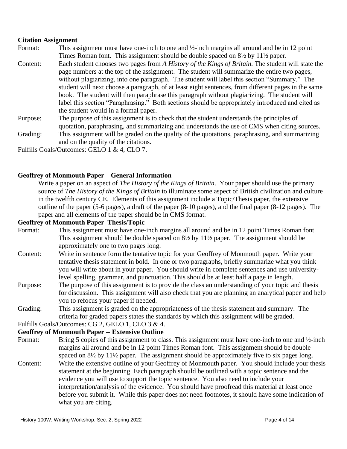#### **Citation Assignment**

- Format: This assignment must have one-inch to one and  $\frac{1}{2}$ -inch margins all around and be in 12 point Times Roman font. This assignment should be double spaced on 8½ by 11½ paper.
- Content: Each student chooses two pages from *A History of the Kings of Britain.* The student will state the page numbers at the top of the assignment. The student will summarize the entire two pages, without plagiarizing, into one paragraph. The student will label this section "Summary." The student will next choose a paragraph, of at least eight sentences, from different pages in the same book. The student will then paraphrase this paragraph without plagiarizing. The student will label this section "Paraphrasing." Both sections should be appropriately introduced and cited as the student would in a formal paper.
- Purpose: The purpose of this assignment is to check that the student understands the principles of quotation, paraphrasing, and summarizing and understands the use of CMS when citing sources.
- Grading: This assignment will be graded on the quality of the quotations, paraphrasing, and summarizing and on the quality of the citations.

Fulfills Goals/Outcomes: GELO 1 & 4, CLO 7.

#### **Geoffrey of Monmouth Paper – General Information**

Write a paper on an aspect of *The History of the Kings of Britain*. Your paper should use the primary source of *The History of the Kings of Britain* to illuminate some aspect of British civilization and culture in the twelfth century CE. Elements of this assignment include a Topic/Thesis paper, the extensive outline of the paper (5-6 pages), a draft of the paper (8-10 pages), and the final paper (8-12 pages). The paper and all elements of the paper should be in CMS format.

#### **Geoffrey of Monmouth Paper–Thesis/Topic**

- Format: This assignment must have one-inch margins all around and be in 12 point Times Roman font. This assignment should be double spaced on 8½ by 11½ paper. The assignment should be approximately one to two pages long.
- Content: Write in sentence form the tentative topic for your Geoffrey of Monmouth paper. Write your tentative thesis statement in bold. In one or two paragraphs, briefly summarize what you think you will write about in your paper. You should write in complete sentences and use universitylevel spelling, grammar, and punctuation. This should be at least half a page in length.
- Purpose: The purpose of this assignment is to provide the class an understanding of your topic and thesis for discussion. This assignment will also check that you are planning an analytical paper and help you to refocus your paper if needed.
- Grading: This assignment is graded on the appropriateness of the thesis statement and summary. The criteria for graded papers states the standards by which this assignment will be graded.

## Fulfills Goals/Outcomes: CG 2, GELO 1, CLO 3 & 4.

#### **Geoffrey of Monmouth Paper -- Extensive Outline**

- Format: Bring 5 copies of this assignment to class. This assignment must have one-inch to one and ½-inch margins all around and be in 12 point Times Roman font. This assignment should be double spaced on  $8\frac{1}{2}$  by  $11\frac{1}{2}$  paper. The assignment should be approximately five to six pages long.
- Content: Write the extensive outline of your Geoffrey of Monmouth paper. You should include your thesis statement at the beginning. Each paragraph should be outlined with a topic sentence and the evidence you will use to support the topic sentence. You also need to include your interpretation/analysis of the evidence. You should have proofread this material at least once before you submit it. While this paper does not need footnotes, it should have some indication of what you are citing.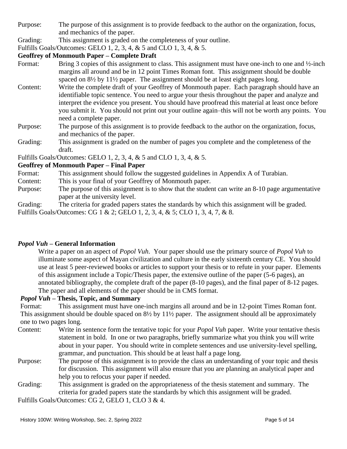Purpose: The purpose of this assignment is to provide feedback to the author on the organization, focus, and mechanics of the paper.

Grading: This assignment is graded on the completeness of your outline.

Fulfills Goals/Outcomes: GELO 1, 2, 3, 4, & 5 and CLO 1, 3, 4, & 5.

## **Geoffrey of Monmouth Paper – Complete Draft**

- Format: Bring 3 copies of this assignment to class. This assignment must have one-inch to one and  $\frac{1}{2}$ -inch margins all around and be in 12 point Times Roman font. This assignment should be double spaced on  $8\frac{1}{2}$  by  $11\frac{1}{2}$  paper. The assignment should be at least eight pages long.
- Content: Write the complete draft of your Geoffrey of Monmouth paper. Each paragraph should have an identifiable topic sentence. You need to argue your thesis throughout the paper and analyze and interpret the evidence you present. You should have proofread this material at least once before you submit it. You should not print out your outline again–this will not be worth any points. You need a complete paper.
- Purpose: The purpose of this assignment is to provide feedback to the author on the organization, focus, and mechanics of the paper.
- Grading: This assignment is graded on the number of pages you complete and the completeness of the draft.

Fulfills Goals/Outcomes: GELO 1, 2, 3, 4, & 5 and CLO 1, 3, 4, & 5.

## **Geoffrey of Monmouth Paper – Final Paper**

Format: This assignment should follow the suggested guidelines in Appendix A of Turabian.

- Content: This is your final of your Geoffrey of Monmouth paper.
- Purpose: The purpose of this assignment is to show that the student can write an 8-10 page argumentative paper at the university level.

Grading: The criteria for graded papers states the standards by which this assignment will be graded.

Fulfills Goals/Outcomes: CG 1 & 2; GELO 1, 2, 3, 4, & 5; CLO 1, 3, 4, 7, & 8.

#### *Popol Vuh* **– General Information**

Write a paper on an aspect of *Popol Vuh*. Your paper should use the primary source of *Popol Vuh* to illuminate some aspect of Mayan civilization and culture in the early sixteenth century CE. You should use at least 5 peer-reviewed books or articles to support your thesis or to refute in your paper. Elements of this assignment include a Topic/Thesis paper, the extensive outline of the paper (5-6 pages), an annotated bibliography, the complete draft of the paper (8-10 pages), and the final paper of 8-12 pages. The paper and all elements of the paper should be in CMS format.

#### *Popol Vuh* **– Thesis, Topic, and Summary**

Format: This assignment must have one-inch margins all around and be in 12-point Times Roman font. This assignment should be double spaced on 8½ by 11½ paper. The assignment should all be approximately one to two pages long.

- Content: Write in sentence form the tentative topic for your *Popol Vuh* paper. Write your tentative thesis statement in bold. In one or two paragraphs, briefly summarize what you think you will write about in your paper. You should write in complete sentences and use university-level spelling, grammar, and punctuation. This should be at least half a page long.
- Purpose: The purpose of this assignment is to provide the class an understanding of your topic and thesis for discussion. This assignment will also ensure that you are planning an analytical paper and help you to refocus your paper if needed.
- Grading: This assignment is graded on the appropriateness of the thesis statement and summary. The criteria for graded papers state the standards by which this assignment will be graded.

Fulfills Goals/Outcomes: CG 2, GELO 1, CLO 3 & 4.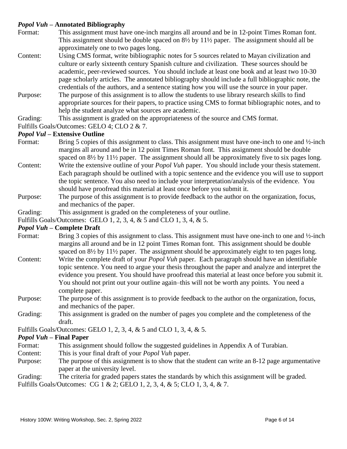## *Popol Vuh* **– Annotated Bibliography**

- Format: This assignment must have one-inch margins all around and be in 12-point Times Roman font. This assignment should be double spaced on 8½ by 11½ paper. The assignment should all be approximately one to two pages long.
- Content: Using CMS format, write bibliographic notes for 5 sources related to Mayan civilization and culture or early sixteenth century Spanish culture and civilization. These sources should be academic, peer-reviewed sources. You should include at least one book and at least two 10-30 page scholarly articles. The annotated bibliography should include a full bibliographic note, the credentials of the authors, and a sentence stating how you will use the source in your paper.
- Purpose: The purpose of this assignment is to allow the students to use library research skills to find appropriate sources for their papers, to practice using CMS to format bibliographic notes, and to help the student analyze what sources are academic.
- Grading: This assignment is graded on the appropriateness of the source and CMS format.

Fulfills Goals/Outcomes: GELO 4; CLO 2 & 7.

#### *Popol Vul* **– Extensive Outline**

- Format: Bring 5 copies of this assignment to class. This assignment must have one-inch to one and  $\frac{1}{2}$ -inch margins all around and be in 12 point Times Roman font. This assignment should be double spaced on  $8\frac{1}{2}$  by  $11\frac{1}{2}$  paper. The assignment should all be approximately five to six pages long.
- Content: Write the extensive outline of your *Popol Vuh* paper. You should include your thesis statement. Each paragraph should be outlined with a topic sentence and the evidence you will use to support the topic sentence. You also need to include your interpretation/analysis of the evidence. You should have proofread this material at least once before you submit it.
- Purpose: The purpose of this assignment is to provide feedback to the author on the organization, focus, and mechanics of the paper.
- Grading: This assignment is graded on the completeness of your outline.

Fulfills Goals/Outcomes: GELO 1, 2, 3, 4, & 5 and CLO 1, 3, 4, & 5.

#### *Popol Vuh* **– Complete Draft**

- Format: Bring 3 copies of this assignment to class. This assignment must have one-inch to one and  $\frac{1}{2}$ -inch margins all around and be in 12 point Times Roman font. This assignment should be double spaced on  $8\frac{1}{2}$  by  $11\frac{1}{2}$  paper. The assignment should be approximately eight to ten pages long.
- Content: Write the complete draft of your *Popol Vuh* paper. Each paragraph should have an identifiable topic sentence. You need to argue your thesis throughout the paper and analyze and interpret the evidence you present. You should have proofread this material at least once before you submit it. You should not print out your outline again–this will not be worth any points. You need a complete paper.
- Purpose: The purpose of this assignment is to provide feedback to the author on the organization, focus, and mechanics of the paper.
- Grading: This assignment is graded on the number of pages you complete and the completeness of the draft.

Fulfills Goals/Outcomes: GELO 1, 2, 3, 4, & 5 and CLO 1, 3, 4, & 5.

#### *Popol Vuh* **– Final Paper**

- Format: This assignment should follow the suggested guidelines in Appendix A of Turabian.
- Content: This is your final draft of your *Popol Vuh* paper.
- Purpose: The purpose of this assignment is to show that the student can write an 8-12 page argumentative paper at the university level.

Grading: The criteria for graded papers states the standards by which this assignment will be graded. Fulfills Goals/Outcomes: CG 1 & 2; GELO 1, 2, 3, 4, & 5; CLO 1, 3, 4, & 7.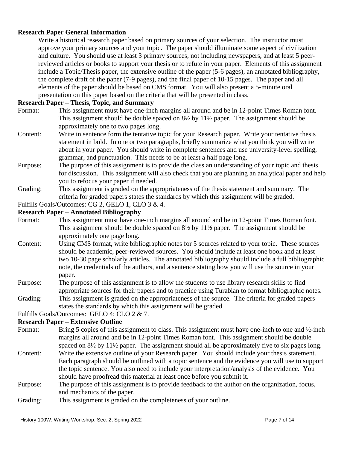## **Research Paper General Information**

Write a historical research paper based on primary sources of your selection. The instructor must approve your primary sources and your topic. The paper should illuminate some aspect of civilization and culture. You should use at least 3 primary sources, not including newspapers, and at least 5 peerreviewed articles or books to support your thesis or to refute in your paper. Elements of this assignment include a Topic/Thesis paper, the extensive outline of the paper (5-6 pages), an annotated bibliography, the complete draft of the paper (7-9 pages), and the final paper of 10-15 pages. The paper and all elements of the paper should be based on CMS format. You will also present a 5-minute oral presentation on this paper based on the criteria that will be presented in class.

#### **Research Paper – Thesis, Topic, and Summary**

- Format: This assignment must have one-inch margins all around and be in 12-point Times Roman font. This assignment should be double spaced on 8½ by 11½ paper. The assignment should be approximately one to two pages long.
- Content: Write in sentence form the tentative topic for your Research paper. Write your tentative thesis statement in bold. In one or two paragraphs, briefly summarize what you think you will write about in your paper. You should write in complete sentences and use university-level spelling, grammar, and punctuation. This needs to be at least a half page long.
- Purpose: The purpose of this assignment is to provide the class an understanding of your topic and thesis for discussion. This assignment will also check that you are planning an analytical paper and help you to refocus your paper if needed.
- Grading: This assignment is graded on the appropriateness of the thesis statement and summary. The criteria for graded papers states the standards by which this assignment will be graded.
- Fulfills Goals/Outcomes: CG 2, GELO 1, CLO 3 & 4.

### **Research Paper – Annotated Bibliography**

- Format: This assignment must have one-inch margins all around and be in 12-point Times Roman font. This assignment should be double spaced on  $8\frac{1}{2}$  by  $11\frac{1}{2}$  paper. The assignment should be approximately one page long.
- Content: Using CMS format, write bibliographic notes for 5 sources related to your topic. These sources should be academic, peer-reviewed sources. You should include at least one book and at least two 10-30 page scholarly articles. The annotated bibliography should include a full bibliographic note, the credentials of the authors, and a sentence stating how you will use the source in your paper.
- Purpose: The purpose of this assignment is to allow the students to use library research skills to find appropriate sources for their papers and to practice using Turabian to format bibliographic notes.
- Grading: This assignment is graded on the appropriateness of the source. The criteria for graded papers states the standards by which this assignment will be graded.

Fulfills Goals/Outcomes: GELO 4; CLO 2 & 7.

#### **Research Paper – Extensive Outline**

- Format: Bring 5 copies of this assignment to class. This assignment must have one-inch to one and ½-inch margins all around and be in 12-point Times Roman font. This assignment should be double spaced on  $8\frac{1}{2}$  by  $11\frac{1}{2}$  paper. The assignment should all be approximately five to six pages long.
- Content: Write the extensive outline of your Research paper. You should include your thesis statement. Each paragraph should be outlined with a topic sentence and the evidence you will use to support the topic sentence. You also need to include your interpretation/analysis of the evidence. You should have proofread this material at least once before you submit it.
- Purpose: The purpose of this assignment is to provide feedback to the author on the organization, focus, and mechanics of the paper.
- Grading: This assignment is graded on the completeness of your outline.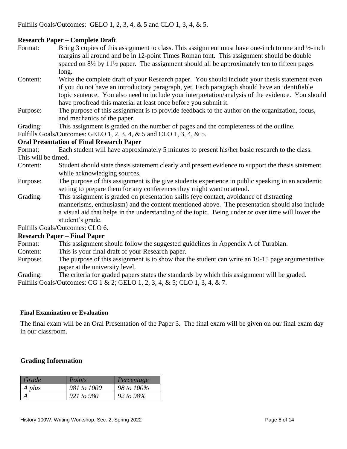## **Research Paper – Complete Draft**

- Format: Bring 3 copies of this assignment to class. This assignment must have one-inch to one and  $\frac{1}{2}$ -inch margins all around and be in 12-point Times Roman font. This assignment should be double spaced on  $8\frac{1}{2}$  by  $11\frac{1}{2}$  paper. The assignment should all be approximately ten to fifteen pages long.
- Content: Write the complete draft of your Research paper. You should include your thesis statement even if you do not have an introductory paragraph, yet. Each paragraph should have an identifiable topic sentence. You also need to include your interpretation/analysis of the evidence. You should have proofread this material at least once before you submit it.
- Purpose: The purpose of this assignment is to provide feedback to the author on the organization, focus, and mechanics of the paper.
- Grading: This assignment is graded on the number of pages and the completeness of the outline.

Fulfills Goals/Outcomes: GELO 1, 2, 3, 4, & 5 and CLO 1, 3, 4, & 5.

## **Oral Presentation of Final Research Paper**

Format: Each student will have approximately 5 minutes to present his/her basic research to the class. This will be timed.

- Content: Student should state thesis statement clearly and present evidence to support the thesis statement while acknowledging sources.
- Purpose: The purpose of this assignment is the give students experience in public speaking in an academic setting to prepare them for any conferences they might want to attend.
- Grading: This assignment is graded on presentation skills (eye contact, avoidance of distracting mannerisms, enthusiasm) and the content mentioned above. The presentation should also include a visual aid that helps in the understanding of the topic. Being under or over time will lower the student's grade.

Fulfills Goals/Outcomes: CLO 6.

#### **Research Paper – Final Paper**

- Format: This assignment should follow the suggested guidelines in Appendix A of Turabian.
- Content: This is your final draft of your Research paper.
- Purpose: The purpose of this assignment is to show that the student can write an 10-15 page argumentative paper at the university level.

Grading: The criteria for graded papers states the standards by which this assignment will be graded.

Fulfills Goals/Outcomes: CG 1 & 2; GELO 1, 2, 3, 4, & 5; CLO 1, 3, 4, & 7.

#### **Final Examination or Evaluation**

The final exam will be an Oral Presentation of the Paper 3. The final exam will be given on our final exam day in our classroom.

#### **Grading Information**

| Grade  | Points      | Percentage |
|--------|-------------|------------|
| A plus | 981 to 1000 | 98 to 100% |
|        | 921 to 980  | 92 to 98%  |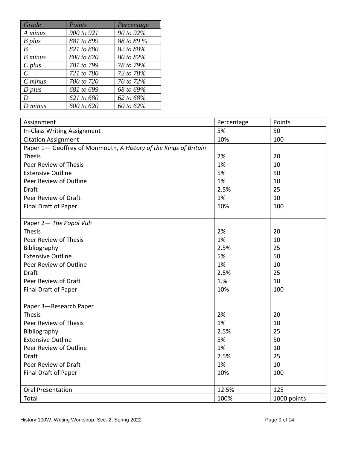| Grade         | Points     | Percentage |
|---------------|------------|------------|
| A minus       | 900 to 921 | 90 to 92%  |
| B plus        | 881 to 899 | 88 to 89 % |
| B             | 821 to 880 | 82 to 88%  |
| B minus       | 800 to 820 | 80 to 82%  |
| $C$ plus      | 781 to 799 | 78 to 79%  |
| $\mathcal{C}$ | 721 to 780 | 72 to 78%  |
| $C \, minus$  | 700 to 720 | 70 to 72%  |
| $D$ plus      | 681 to 699 | 68 to 69%  |
| D             | 621 to 680 | 62 to 68%  |
| $D$ minus     | 600 to 620 | 60 to 62%  |

| Assignment                                                       | Percentage | Points      |
|------------------------------------------------------------------|------------|-------------|
| In-Class Writing Assignment                                      | 5%         | 50          |
| <b>Citation Assignment</b>                                       | 10%        | 100         |
| Paper 1- Geoffrey of Monmouth, A History of the Kings of Britain |            |             |
| <b>Thesis</b>                                                    | 2%         | 20          |
| Peer Review of Thesis                                            | 1%         | 10          |
| <b>Extensive Outline</b>                                         | 5%         | 50          |
| Peer Review of Outline                                           | 1%         | 10          |
| <b>Draft</b>                                                     | 2.5%       | 25          |
| Peer Review of Draft                                             | 1%         | 10          |
| Final Draft of Paper                                             | 10%        | 100         |
|                                                                  |            |             |
| Paper 2- The Popol Vuh                                           |            |             |
| <b>Thesis</b>                                                    | 2%         | 20          |
| Peer Review of Thesis                                            | 1%         | 10          |
| Bibliography                                                     | 2.5%       | 25          |
| <b>Extensive Outline</b>                                         | 5%         | 50          |
| Peer Review of Outline                                           | 1%         | 10          |
| <b>Draft</b>                                                     | 2.5%       | 25          |
| Peer Review of Draft                                             | 1.%        | 10          |
| Final Draft of Paper                                             | 10%        | 100         |
|                                                                  |            |             |
| Paper 3-Research Paper                                           |            |             |
| <b>Thesis</b>                                                    | 2%         | 20          |
| Peer Review of Thesis                                            | 1%         | 10          |
| Bibliography                                                     | 2.5%       | 25          |
| <b>Extensive Outline</b>                                         | 5%         | 50          |
| Peer Review of Outline                                           | 1%         | 10          |
| <b>Draft</b>                                                     | 2.5%       | 25          |
| Peer Review of Draft                                             | 1%         | 10          |
| Final Draft of Paper                                             | 10%        | 100         |
|                                                                  |            |             |
| <b>Oral Presentation</b>                                         | 12.5%      | 125         |
| Total                                                            | 100%       | 1000 points |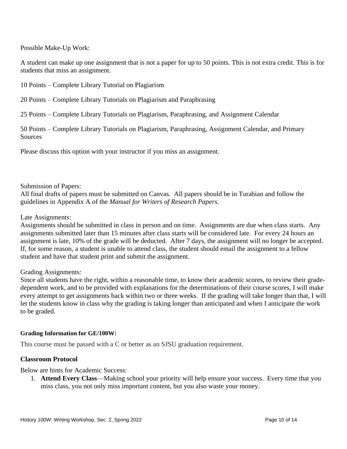Possible Make-Up Work:

A student can make up one assignment that is not a paper for up to 50 points. This is not extra credit. This is for students that miss an assignment.

10 Points – Complete Library Tutorial on Plagiarism

20 Points – Complete Library Tutorials on Plagiarism and Paraphrasing

25 Points – Complete Library Tutorials on Plagiarism, Paraphrasing, and Assignment Calendar

50 Points – Complete Library Tutorials on Plagiarism, Paraphrasing, Assignment Calendar, and Primary **Sources** 

Please discuss this option with your instructor if you miss an assignment.

Submission of Papers:

All final drafts of papers must be submitted on Canvas. All papers should be in Turabian and follow the guidelines in Appendix A of the *Manual for Writers of Research Papers*.

Late Assignments:

Assignments should be submitted in class in person and on time. Assignments are due when class starts. Any assignments submitted later than 15 minutes after class starts will be considered late. For every 24 hours an assignment is late, 10% of the grade will be deducted. After 7 days, the assignment will no longer be accepted. If, for some reason, a student is unable to attend class, the student should email the assignment to a fellow student and have that student print and submit the assignment.

#### Grading Assignments:

Since all students have the right, within a reasonable time, to know their academic scores, to review their gradedependent work, and to be provided with explanations for the determinations of their course scores, I will make every attempt to get assignments back within two or three weeks. If the grading will take longer than that, I will let the students know in class why the grading is taking longer than anticipated and when I anticipate the work to be graded.

#### **Grading Information for GE/100W:**

This course must be passed with a C or better as an SJSU graduation requirement.

#### **Classroom Protocol**

Below are hints for Academic Success:

1. **Attend Every Class**—Making school your priority will help ensure your success. Every time that you miss class, you not only miss important content, but you also waste your money.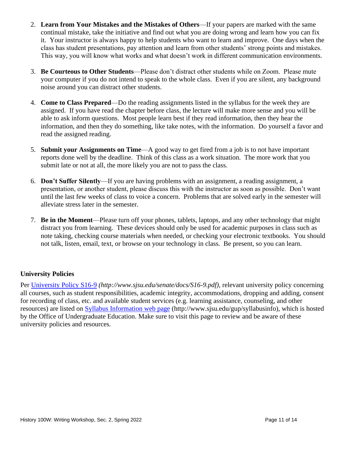- 2. **Learn from Your Mistakes and the Mistakes of Others**—If your papers are marked with the same continual mistake, take the initiative and find out what you are doing wrong and learn how you can fix it. Your instructor is always happy to help students who want to learn and improve. One days when the class has student presentations, pay attention and learn from other students' strong points and mistakes. This way, you will know what works and what doesn't work in different communication environments.
- 3. **Be Courteous to Other Students**—Please don't distract other students while on Zoom. Please mute your computer if you do not intend to speak to the whole class. Even if you are silent, any background noise around you can distract other students.
- 4. **Come to Class Prepared**—Do the reading assignments listed in the syllabus for the week they are assigned. If you have read the chapter before class, the lecture will make more sense and you will be able to ask inform questions. Most people learn best if they read information, then they hear the information, and then they do something, like take notes, with the information. Do yourself a favor and read the assigned reading.
- 5. **Submit your Assignments on Time**—A good way to get fired from a job is to not have important reports done well by the deadline. Think of this class as a work situation. The more work that you submit late or not at all, the more likely you are not to pass the class.
- 6. **Don't Suffer Silently**—If you are having problems with an assignment, a reading assignment, a presentation, or another student, please discuss this with the instructor as soon as possible. Don't want until the last few weeks of class to voice a concern. Problems that are solved early in the semester will alleviate stress later in the semester.
- 7. **Be in the Moment**—Please turn off your phones, tablets, laptops, and any other technology that might distract you from learning. These devices should only be used for academic purposes in class such as note taking, checking course materials when needed, or checking your electronic textbooks. You should not talk, listen, email, text, or browse on your technology in class. Be present, so you can learn.

## **University Policies**

Per [University Policy S16-9](http://www.sjsu.edu/senate/docs/S16-9.pdf) *(http://www.sjsu.edu/senate/docs/S16-9.pdf)*, relevant university policy concerning all courses, such as student responsibilities, academic integrity, accommodations, dropping and adding, consent for recording of class, etc. and available student services (e.g. learning assistance, counseling, and other resources) are listed on [Syllabus Information](http://www.sjsu.edu/gup/syllabusinfo/) web page (http://www.sjsu.edu/gup/syllabusinfo), which is hosted by the Office of Undergraduate Education. Make sure to visit this page to review and be aware of these university policies and resources.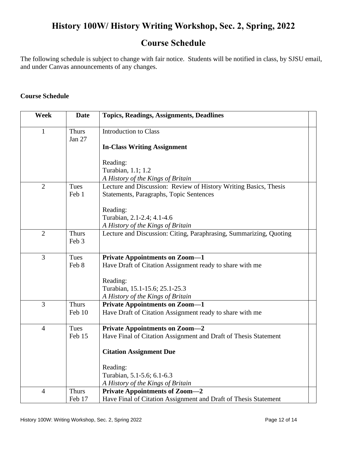# **History 100W/ History Writing Workshop, Sec. 2, Spring, 2022**

## **Course Schedule**

The following schedule is subject to change with fair notice. Students will be notified in class, by SJSU email, and under Canvas announcements of any changes.

#### **Course Schedule**

| <b>Week</b>    | <b>Date</b>            | <b>Topics, Readings, Assignments, Deadlines</b>                    |
|----------------|------------------------|--------------------------------------------------------------------|
| $\mathbf{1}$   | <b>Thurs</b><br>Jan 27 | <b>Introduction to Class</b>                                       |
|                |                        | <b>In-Class Writing Assignment</b>                                 |
|                |                        | Reading:                                                           |
|                |                        | Turabian, 1.1; 1.2                                                 |
|                |                        | A History of the Kings of Britain                                  |
| $\overline{2}$ | Tues                   | Lecture and Discussion: Review of History Writing Basics, Thesis   |
|                | Feb 1                  | Statements, Paragraphs, Topic Sentences                            |
|                |                        | Reading:                                                           |
|                |                        | Turabian, 2.1-2.4; 4.1-4.6                                         |
|                |                        | A History of the Kings of Britain                                  |
| $\overline{2}$ | <b>Thurs</b><br>Feb 3  | Lecture and Discussion: Citing, Paraphrasing, Summarizing, Quoting |
| $\overline{3}$ | Tues                   | <b>Private Appointments on Zoom-1</b>                              |
|                | Feb 8                  | Have Draft of Citation Assignment ready to share with me           |
|                |                        |                                                                    |
|                |                        | Reading:                                                           |
|                |                        | Turabian, 15.1-15.6; 25.1-25.3                                     |
| $\overline{3}$ |                        | A History of the Kings of Britain                                  |
|                | <b>Thurs</b><br>Feb 10 | <b>Private Appointments on Zoom-1</b>                              |
|                |                        | Have Draft of Citation Assignment ready to share with me           |
| $\overline{4}$ | Tues                   | <b>Private Appointments on Zoom-2</b>                              |
|                | Feb 15                 | Have Final of Citation Assignment and Draft of Thesis Statement    |
|                |                        | <b>Citation Assignment Due</b>                                     |
|                |                        | Reading:                                                           |
|                |                        | Turabian, 5.1-5.6; 6.1-6.3                                         |
|                |                        | A History of the Kings of Britain                                  |
| $\overline{4}$ | <b>Thurs</b>           | <b>Private Appointments of Zoom-2</b>                              |
|                | Feb 17                 | Have Final of Citation Assignment and Draft of Thesis Statement    |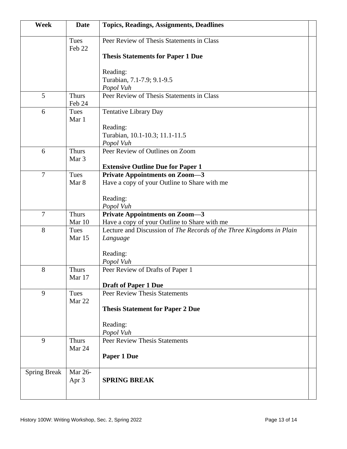| Week                | <b>Date</b>            | <b>Topics, Readings, Assignments, Deadlines</b>                      |
|---------------------|------------------------|----------------------------------------------------------------------|
|                     | Tues<br>Feb 22         | Peer Review of Thesis Statements in Class                            |
|                     |                        | <b>Thesis Statements for Paper 1 Due</b>                             |
|                     |                        | Reading:                                                             |
|                     |                        | Turabian, 7.1-7.9; 9.1-9.5                                           |
|                     |                        | Popol Vuh                                                            |
| 5                   | <b>Thurs</b><br>Feb 24 | Peer Review of Thesis Statements in Class                            |
| 6                   | Tues<br>Mar 1          | <b>Tentative Library Day</b>                                         |
|                     |                        | Reading:                                                             |
|                     |                        | Turabian, 10.1-10.3; 11.1-11.5<br>Popol Vuh                          |
| 6                   | <b>Thurs</b><br>Mar 3  | Peer Review of Outlines on Zoom                                      |
|                     |                        | <b>Extensive Outline Due for Paper 1</b>                             |
| $\overline{7}$      | Tues                   | <b>Private Appointments on Zoom-3</b>                                |
|                     | Mar 8                  | Have a copy of your Outline to Share with me                         |
|                     |                        | Reading:                                                             |
|                     |                        | Popol Vuh                                                            |
| $\overline{7}$      | <b>Thurs</b>           | <b>Private Appointments on Zoom-3</b>                                |
|                     | Mar 10                 | Have a copy of your Outline to Share with me                         |
| 8                   | Tues<br>Mar 15         | Lecture and Discussion of The Records of the Three Kingdoms in Plain |
|                     |                        | Language                                                             |
|                     |                        | Reading:                                                             |
|                     |                        | Popol Vuh                                                            |
| 8                   | <b>Thurs</b>           | Peer Review of Drafts of Paper 1                                     |
|                     | Mar 17                 |                                                                      |
|                     |                        | <b>Draft of Paper 1 Due</b>                                          |
| 9                   | Tues<br>Mar 22         | <b>Peer Review Thesis Statements</b>                                 |
|                     |                        | <b>Thesis Statement for Paper 2 Due</b>                              |
|                     |                        | Reading:                                                             |
|                     |                        | Popol Vuh                                                            |
| 9                   | <b>Thurs</b><br>Mar 24 | <b>Peer Review Thesis Statements</b>                                 |
|                     |                        | Paper 1 Due                                                          |
| <b>Spring Break</b> | Mar 26-                |                                                                      |
|                     | Apr 3                  | <b>SPRING BREAK</b>                                                  |
|                     |                        |                                                                      |
|                     |                        |                                                                      |